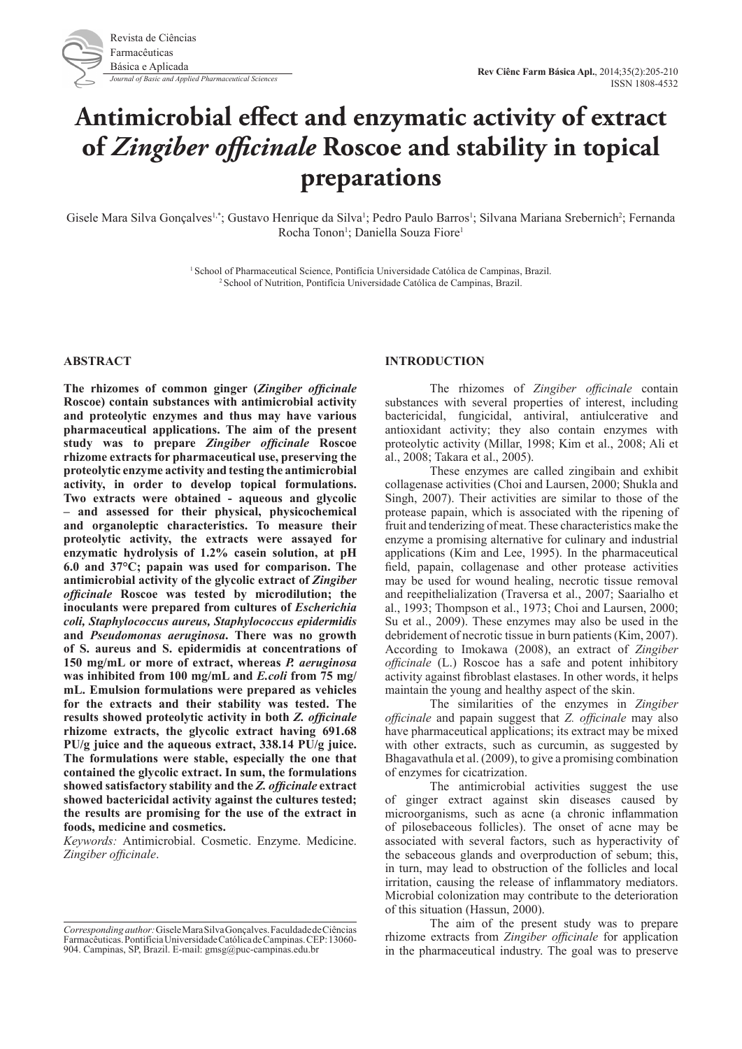

# **Antimicrobial effect and enzymatic activity of extract of** *Zingiber officinale* **Roscoe and stability in topical preparations**

Gisele Mara Silva Gonçalves<sup>1,\*</sup>; Gustavo Henrique da Silva<sup>1</sup>; Pedro Paulo Barros<sup>1</sup>; Silvana Mariana Srebernich<sup>2</sup>; Fernanda Rocha Tonon<sup>1</sup>; Daniella Souza Fiore<sup>1</sup>

1 School of Pharmaceutical Science, Pontifícia Universidade Católica de Campinas, Brazil. 2 School of Nutrition, Pontifícia Universidade Católica de Campinas, Brazil.

## **ABSTRACT**

**The rhizomes of common ginger (***Zingiber officinale*  **Roscoe) contain substances with antimicrobial activity and proteolytic enzymes and thus may have various pharmaceutical applications. The aim of the present study was to prepare** *Zingiber officinale* **Roscoe rhizome extracts for pharmaceutical use, preserving the proteolytic enzyme activity and testing the antimicrobial activity, in order to develop topical formulations. Two extracts were obtained - aqueous and glycolic – and assessed for their physical, physicochemical and organoleptic characteristics. To measure their proteolytic activity, the extracts were assayed for enzymatic hydrolysis of 1.2% casein solution, at pH 6.0 and 37°C; papain was used for comparison. The antimicrobial activity of the glycolic extract of** *Zingiber officinale* **Roscoe was tested by microdilution; the inoculants were prepared from cultures of** *Escherichia coli, Staphylococcus aureus, Staphylococcus epidermidis*  **and** *Pseudomonas aeruginosa***. There was no growth of S. aureus and S. epidermidis at concentrations of 150 mg/mL or more of extract, whereas** *P. aeruginosa*  **was inhibited from 100 mg/mL and** *E.coli* **from 75 mg/ mL. Emulsion formulations were prepared as vehicles for the extracts and their stability was tested. The results showed proteolytic activity in both** *Z. officinale*  **rhizome extracts, the glycolic extract having 691.68 PU/g juice and the aqueous extract, 338.14 PU/g juice. The formulations were stable, especially the one that contained the glycolic extract. In sum, the formulations showed satisfactory stability and the** *Z. officinale* **extract showed bactericidal activity against the cultures tested; the results are promising for the use of the extract in foods, medicine and cosmetics.** 

*Keywords:* Antimicrobial. Cosmetic. Enzyme. Medicine. *Zingiber officinale*.

## **INTRODUCTION**

The rhizomes of *Zingiber officinale* contain substances with several properties of interest, including bactericidal, fungicidal, antiviral, antiulcerative and antioxidant activity; they also contain enzymes with proteolytic activity (Millar, 1998; Kim et al., 2008; Ali et al., 2008; Takara et al., 2005).

These enzymes are called zingibain and exhibit collagenase activities (Choi and Laursen, 2000; Shukla and Singh, 2007). Their activities are similar to those of the protease papain, which is associated with the ripening of fruit and tenderizing of meat. These characteristics make the enzyme a promising alternative for culinary and industrial applications (Kim and Lee, 1995). In the pharmaceutical field, papain, collagenase and other protease activities may be used for wound healing, necrotic tissue removal and reepithelialization (Traversa et al., 2007; Saarialho et al., 1993; Thompson et al., 1973; Choi and Laursen, 2000; Su et al., 2009). These enzymes may also be used in the debridement of necrotic tissue in burn patients (Kim, 2007). According to Imokawa (2008), an extract of *Zingiber officinale* (L.) Roscoe has a safe and potent inhibitory activity against fibroblast elastases. In other words, it helps maintain the young and healthy aspect of the skin.

The similarities of the enzymes in *Zingiber officinale* and papain suggest that *Z. officinale* may also have pharmaceutical applications; its extract may be mixed with other extracts, such as curcumin, as suggested by Bhagavathula et al. (2009), to give a promising combination of enzymes for cicatrization.

The antimicrobial activities suggest the use of ginger extract against skin diseases caused by microorganisms, such as acne (a chronic inflammation of pilosebaceous follicles). The onset of acne may be associated with several factors, such as hyperactivity of the sebaceous glands and overproduction of sebum; this, in turn, may lead to obstruction of the follicles and local irritation, causing the release of inflammatory mediators. Microbial colonization may contribute to the deterioration of this situation (Hassun, 2000).

The aim of the present study was to prepare rhizome extracts from *Zingiber officinale* for application in the pharmaceutical industry. The goal was to preserve

*Corresponding author:* Gisele Mara Silva Gonçalves. Faculdade de Ciências Farmacêuticas. Pontifícia Universidade Católica de Campinas. CEP: 13060- 904. Campinas, SP, Brazil. E-mail: gmsg@puc-campinas.edu.br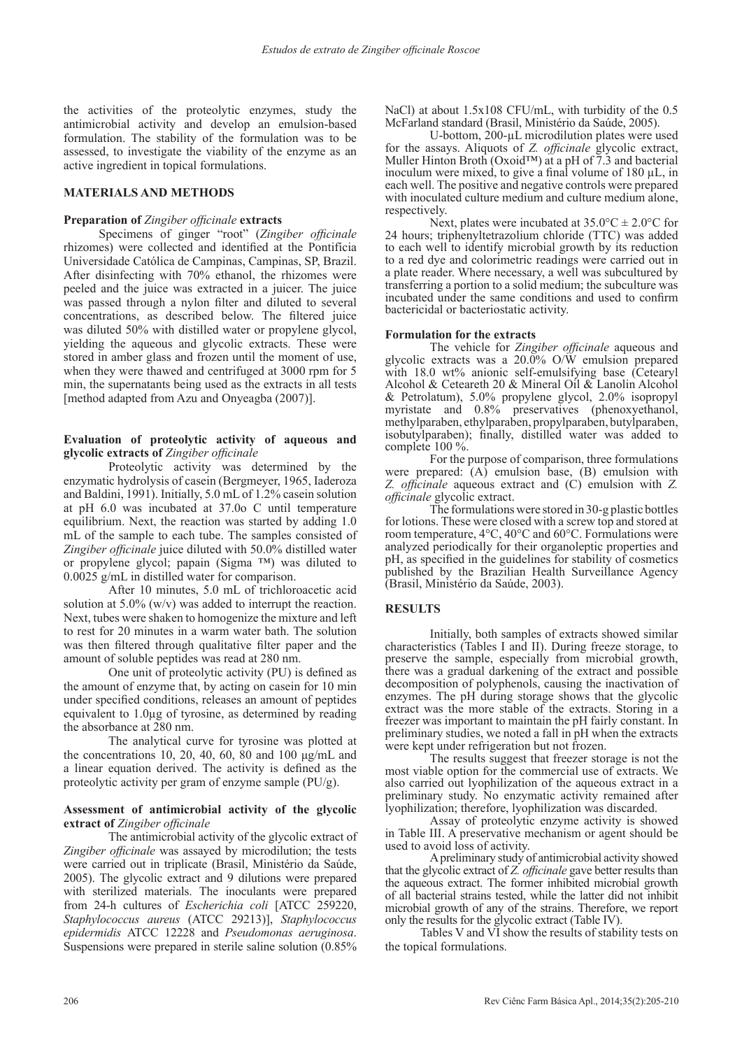the activities of the proteolytic enzymes, study the antimicrobial activity and develop an emulsion-based formulation. The stability of the formulation was to be assessed, to investigate the viability of the enzyme as an active ingredient in topical formulations.

## **MATERIALS AND METHODS**

#### **Preparation of** *Zingiber officinale* **extracts**

Specimens of ginger "root" (*Zingiber officinale* rhizomes) were collected and identified at the Pontifícia Universidade Católica de Campinas, Campinas, SP, Brazil. After disinfecting with 70% ethanol, the rhizomes were peeled and the juice was extracted in a juicer. The juice was passed through a nylon filter and diluted to several concentrations, as described below. The filtered juice was diluted 50% with distilled water or propylene glycol, yielding the aqueous and glycolic extracts. These were stored in amber glass and frozen until the moment of use, when they were thawed and centrifuged at 3000 rpm for 5 min, the supernatants being used as the extracts in all tests [method adapted from Azu and Onyeagba (2007)].

## **Evaluation of proteolytic activity of aqueous and glycolic extracts of** *Zingiber officinale*

Proteolytic activity was determined by the enzymatic hydrolysis of casein (Bergmeyer, 1965, Iaderoza and Baldini, 1991). Initially, 5.0 mL of 1.2% casein solution at pH 6.0 was incubated at 37.0o C until temperature equilibrium. Next, the reaction was started by adding 1.0 mL of the sample to each tube. The samples consisted of *Zingiber officinale* juice diluted with 50.0% distilled water or propylene glycol; papain (Sigma ™) was diluted to 0.0025 g/mL in distilled water for comparison.

After 10 minutes, 5.0 mL of trichloroacetic acid solution at 5.0% (w/v) was added to interrupt the reaction. Next, tubes were shaken to homogenize the mixture and left to rest for 20 minutes in a warm water bath. The solution was then filtered through qualitative filter paper and the amount of soluble peptides was read at 280 nm.

One unit of proteolytic activity (PU) is defined as the amount of enzyme that, by acting on casein for 10 min under specified conditions, releases an amount of peptides equivalent to 1.0µg of tyrosine, as determined by reading the absorbance at 280 nm.

The analytical curve for tyrosine was plotted at the concentrations 10, 20, 40, 60, 80 and 100 μg/mL and a linear equation derived. The activity is defined as the proteolytic activity per gram of enzyme sample (PU/g).

### **Assessment of antimicrobial activity of the glycolic extract of** *Zingiber officinale*

The antimicrobial activity of the glycolic extract of *Zingiber officinale* was assayed by microdilution; the tests were carried out in triplicate (Brasil, Ministério da Saúde, 2005). The glycolic extract and 9 dilutions were prepared with sterilized materials. The inoculants were prepared from 24-h cultures of *Escherichia coli* [ATCC 259220, *Staphylococcus aureus* (ATCC 29213)], *Staphylococcus epidermidis* ATCC 12228 and *Pseudomonas aeruginosa*. Suspensions were prepared in sterile saline solution (0.85%

NaCl) at about 1.5x108 CFU/mL, with turbidity of the 0.5 McFarland standard (Brasil, Ministério da Saúde, 2005).

U-bottom, 200-µL microdilution plates were used for the assays. Aliquots of *Z. officinale* glycolic extract, Muller Hinton Broth (Oxoid™) at a pH of 7.3 and bacterial inoculum were mixed, to give a final volume of  $180 \mu L$ , in each well. The positive and negative controls were prepared with inoculated culture medium and culture medium alone, respectively.

Next, plates were incubated at  $35.0^{\circ}\text{C} \pm 2.0^{\circ}\text{C}$  for 24 hours; triphenyltetrazolium chloride (TTC) was added to each well to identify microbial growth by its reduction to a red dye and colorimetric readings were carried out in a plate reader. Where necessary, a well was subcultured by transferring a portion to a solid medium; the subculture was incubated under the same conditions and used to confirm bactericidal or bacteriostatic activity.

#### **Formulation for the extracts**

The vehicle for *Zingiber officinale* aqueous and glycolic extracts was a  $20.0\%$  O/W emulsion prepared with 18.0 wt% anionic self-emulsifying base (Cetearyl Alcohol & Ceteareth 20 & Mineral Oil & Lanolin Alcohol & Petrolatum), 5.0% propylene glycol, 2.0% isopropyl myristate and 0.8% preservatives (phenoxyethanol, methylparaben, ethylparaben, propylparaben, butylparaben, isobutylparaben); finally, distilled water was added to complete 100 %.

For the purpose of comparison, three formulations were prepared: (A) emulsion base, (B) emulsion with *Z. officinale* aqueous extract and (C) emulsion with *Z. officinale* glycolic extract.

The formulations were stored in 30-g plastic bottles for lotions. These were closed with a screw top and stored at room temperature, 4°C, 40°C and 60°C. Formulations were analyzed periodically for their organoleptic properties and pH, as specified in the guidelines for stability of cosmetics published by the Brazilian Health Surveillance Agency (Brasil, Ministério da Saúde, 2003).

## **RESULTS**

Initially, both samples of extracts showed similar characteristics (Tables I and II). During freeze storage, to preserve the sample, especially from microbial growth, there was a gradual darkening of the extract and possible decomposition of polyphenols, causing the inactivation of enzymes. The pH during storage shows that the glycolic extract was the more stable of the extracts. Storing in a freezer was important to maintain the pH fairly constant. In preliminary studies, we noted a fall in pH when the extracts were kept under refrigeration but not frozen.

The results suggest that freezer storage is not the most viable option for the commercial use of extracts. We also carried out lyophilization of the aqueous extract in a preliminary study. No enzymatic activity remained after lyophilization; therefore, lyophilization was discarded.

Assay of proteolytic enzyme activity is showed in Table III. A preservative mechanism or agent should be

A preliminary study of antimicrobial activity showed that the glycolic extract of *Z. officinale* gave better results than the aqueous extract. The former inhibited microbial growth of all bacterial strains tested, while the latter did not inhibit microbial growth of any of the strains. Therefore, we report only the results for the glycolic extract (Table IV).

Tables V and VI show the results of stability tests on the topical formulations.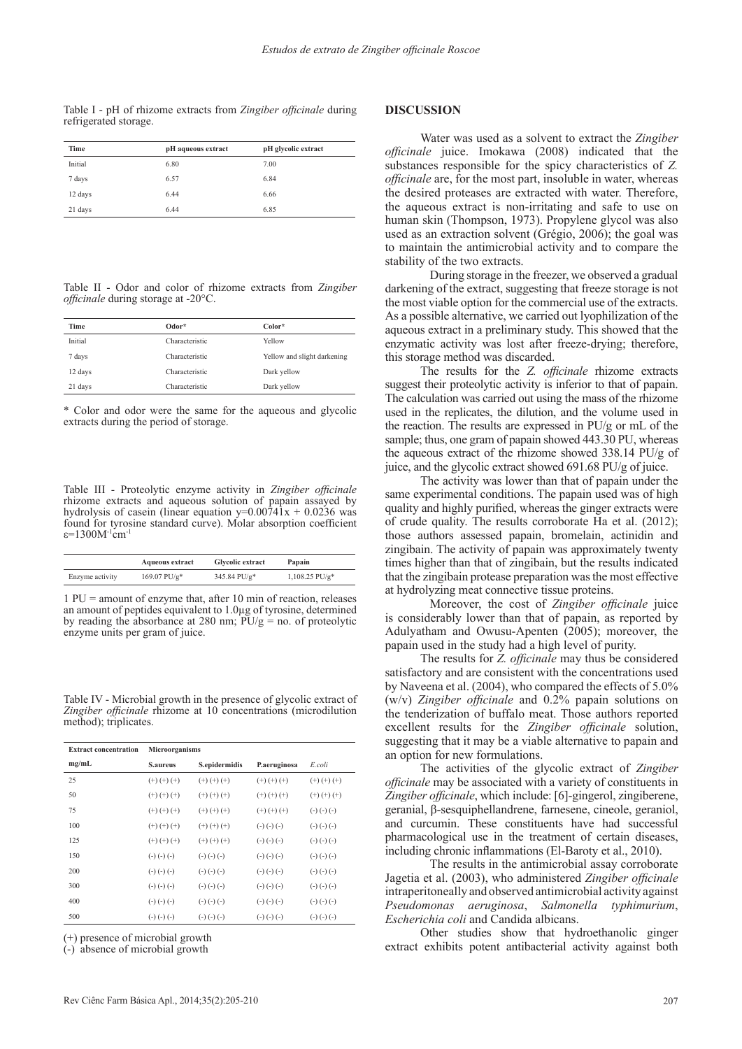Table I - pH of rhizome extracts from *Zingiber officinale* during refrigerated storage.

| Time    | pH aqueous extract | pH glycolic extract |
|---------|--------------------|---------------------|
| Initial | 6.80               | 7.00                |
| 7 days  | 6.57               | 6.84                |
| 12 days | 6.44               | 6.66                |
| 21 days | 6.44               | 6.85                |

Table II - Odor and color of rhizome extracts from *Zingiber officinale* during storage at -20°C.

| <b>Time</b> | Odor*          | Color*                      |
|-------------|----------------|-----------------------------|
| Initial     | Characteristic | Yellow                      |
| 7 days      | Characteristic | Yellow and slight darkening |
| 12 days     | Characteristic | Dark yellow                 |
| 21 days     | Characteristic | Dark yellow                 |
|             |                |                             |

\* Color and odor were the same for the aqueous and glycolic extracts during the period of storage.

Table III - Proteolytic enzyme activity in *Zingiber officinale* rhizome extracts and aqueous solution of papain assayed by hydrolysis of casein (linear equation  $y=0.00741x + 0.0236$  was found for tyrosine standard curve). Molar absorption coefficient ε=1300M<sup>-1</sup>cm<sup>-1</sup>

|                 | <b>Aqueous extract</b>     | <b>Glycolic extract</b> | Papain                       |  |  |
|-----------------|----------------------------|-------------------------|------------------------------|--|--|
| Enzyme activity | $169.07$ PU/g <sup>*</sup> | 345.84 PU/g*            | $1,108.25$ PU/g <sup>*</sup> |  |  |

1 PU = amount of enzyme that, after 10 min of reaction, releases an amount of peptides equivalent to 1.0µg of tyrosine, determined by reading the absorbance at 280 nm;  $\overline{PU/g} =$  no. of proteolytic enzyme units per gram of juice.

Table IV - Microbial growth in the presence of glycolic extract of *Zingiber officinale* rhizome at 10 concentrations (microdilution method); triplicates.

| <b>Extract concentration</b> | <b>Microorganisms</b> |                   |                   |                   |  |  |  |  |  |  |  |
|------------------------------|-----------------------|-------------------|-------------------|-------------------|--|--|--|--|--|--|--|
| mg/mL                        | <b>S.aureus</b>       | S.epidermidis     | P.aeruginosa      | E coli            |  |  |  |  |  |  |  |
| 25                           | $(+)$ $(+)$ $(+)$     | $(+)$ $(+)$ $(+)$ | $(+)$ $(+)$ $(+)$ | $(+)$ $(+)$ $(+)$ |  |  |  |  |  |  |  |
| 50                           | $(+)$ $(+)$ $(+)$     | $(+)$ $(+)$ $(+)$ | $(+)$ $(+)$ $(+)$ | $(+)$ $(+)$ $(+)$ |  |  |  |  |  |  |  |
| 75                           | $(+)$ $(+)$ $(+)$     | $(+)$ $(+)$ $(+)$ | $(+)$ $(+)$ $(+)$ | $(-)$ $(-)$ $(-)$ |  |  |  |  |  |  |  |
| 100                          | $(+)$ $(+)$ $(+)$     | $(+)$ $(+)$ $(+)$ | $(-)$ $(-)$ $(-)$ | $(-)$ $(-)$ $(-)$ |  |  |  |  |  |  |  |
| 125                          | $(+)$ $(+)$ $(+)$     | $(+)$ $(+)$ $(+)$ | $(-)$ $(-)$ $(-)$ | $(-)$ $(-)$ $(-)$ |  |  |  |  |  |  |  |
| 150                          | $(-)$ $(-)$ $(-)$     | $(-)$ $(-)$ $(-)$ | $(-)$ $(-)$ $(-)$ | $(-)$ $(-)$ $(-)$ |  |  |  |  |  |  |  |
| 200                          | $(-)$ $(-)$ $(-)$     | $(-)$ $(-)$ $(-)$ | $(-)$ $(-)$ $(-)$ | $(-)$ $(-)$ $(-)$ |  |  |  |  |  |  |  |
| 300                          | $(-)$ $(-)$ $(-)$     | $(-)$ $(-)$ $(-)$ | $(-)$ $(-)$ $(-)$ | $(-)$ $(-)$ $(-)$ |  |  |  |  |  |  |  |
| 400                          | $(-)$ $(-)$ $(-)$     | $(-)$ $(-)$ $(-)$ | $(-)$ $(-)$ $(-)$ | $(-)$ $(-)$ $(-)$ |  |  |  |  |  |  |  |
| 500                          | $(-)$ $(-)$ $(-)$     | $(-)$ $(-)$ $(-)$ | $(-)$ $(-)$ $(-)$ | $(-)$ $(-)$ $(-)$ |  |  |  |  |  |  |  |

(+) presence of microbial growth

(-) absence of microbial growth

#### **DISCUSSION**

Water was used as a solvent to extract the *Zingiber officinale* juice. Imokawa (2008) indicated that the substances responsible for the spicy characteristics of *Z. officinale* are, for the most part, insoluble in water, whereas the desired proteases are extracted with water. Therefore, the aqueous extract is non-irritating and safe to use on human skin (Thompson, 1973). Propylene glycol was also used as an extraction solvent (Grégio, 2006); the goal was to maintain the antimicrobial activity and to compare the stability of the two extracts.

During storage in the freezer, we observed a gradual darkening of the extract, suggesting that freeze storage is not the most viable option for the commercial use of the extracts. As a possible alternative, we carried out lyophilization of the aqueous extract in a preliminary study. This showed that the enzymatic activity was lost after freeze-drying; therefore, this storage method was discarded.

The results for the *Z. officinale* rhizome extracts suggest their proteolytic activity is inferior to that of papain. The calculation was carried out using the mass of the rhizome used in the replicates, the dilution, and the volume used in the reaction. The results are expressed in PU/g or mL of the sample; thus, one gram of papain showed 443.30 PU, whereas the aqueous extract of the rhizome showed 338.14 PU/g of juice, and the glycolic extract showed 691.68 PU/g of juice.

The activity was lower than that of papain under the same experimental conditions. The papain used was of high quality and highly purified, whereas the ginger extracts were of crude quality. The results corroborate Ha et al. (2012); those authors assessed papain, bromelain, actinidin and zingibain. The activity of papain was approximately twenty times higher than that of zingibain, but the results indicated that the zingibain protease preparation was the most effective at hydrolyzing meat connective tissue proteins.

Moreover, the cost of *Zingiber officinale* juice is considerably lower than that of papain, as reported by Adulyatham and Owusu-Apenten (2005); moreover, the papain used in the study had a high level of purity.

The results for *Z. officinale* may thus be considered satisfactory and are consistent with the concentrations used by Naveena et al. (2004), who compared the effects of 5.0% (w/v) *Zingiber officinale* and 0.2% papain solutions on the tenderization of buffalo meat. Those authors reported excellent results for the *Zingiber officinale* solution, suggesting that it may be a viable alternative to papain and an option for new formulations.

The activities of the glycolic extract of *Zingiber officinale* may be associated with a variety of constituents in *Zingiber officinale*, which include: [6]-gingerol, zingiberene, geranial, β-sesquiphellandrene, farnesene, cineole, geraniol, and curcumin. These constituents have had successful pharmacological use in the treatment of certain diseases, including chronic inflammations (El-Baroty et al., 2010).

The results in the antimicrobial assay corroborate Jagetia et al. (2003), who administered *Zingiber officinale* intraperitoneally and observed antimicrobial activity against *Pseudomonas aeruginosa*, *Salmonella typhimurium*, *Escherichia coli* and Candida albicans.

Other studies show that hydroethanolic ginger extract exhibits potent antibacterial activity against both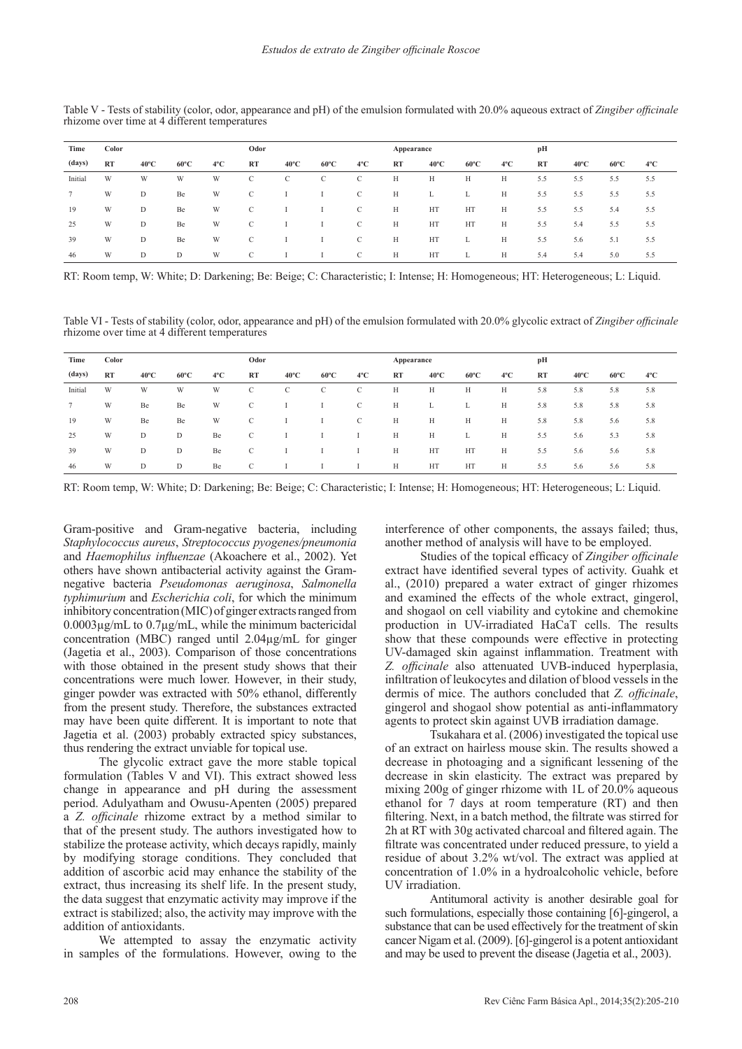| Time           | Color     |                |                |               | Odor          |                |                |               |    | Appearance     |                |               |     | pН             |                |     |  |
|----------------|-----------|----------------|----------------|---------------|---------------|----------------|----------------|---------------|----|----------------|----------------|---------------|-----|----------------|----------------|-----|--|
| (days)         | <b>RT</b> | $40^{\circ}$ C | $60^{\circ}$ C | $4^{\circ}$ C | RT            | $40^{\circ}$ C | $60^{\circ}$ C | $4^{\circ}$ C | RT | $40^{\circ}$ C | $60^{\circ}$ C | $4^{\circ}$ C | RT  | $40^{\circ}$ C | $60^{\circ}$ C | 4°C |  |
| Initial        | W         | W              | W              | W             | $\mathcal{C}$ | C              | C              | C             | Н  | H              | H              | Н             | 5.5 | 5.5            | 5.5            | 5.5 |  |
| $\overline{7}$ | W         | D              | Be             | W             | $\mathbf C$   |                |                | C             | Н  | L.             | L.             | H             | 5.5 | 5.5            | 5.5            | 5.5 |  |
| 19             | W         | D              | Be             | W             | $\mathbf C$   |                |                | C             | H  | HT             | HT             | H             | 5.5 | 5.5            | 5.4            | 5.5 |  |
| 25             | W         | D              | Be             | W             |               |                |                | С             | H  | HT             | HT             | H             | 5.5 | 5.4            | 5.5            | 5.5 |  |
| 39             | W         | D              | Be             | W             | C             |                |                | C             | H  | HT             | L              | H             | 5.5 | 5.6            | 5.1            | 5.5 |  |
| 46             | W         | D              | D              | W             | C             |                |                | C             | H  | HT             | ь.             | Н             | 5.4 | 5.4            | 5.0            | 5.5 |  |

Table V - Tests of stability (color, odor, appearance and pH) of the emulsion formulated with 20.0% aqueous extract of *Zingiber officinale* rhizome over time at 4 different temperatures

RT: Room temp, W: White; D: Darkening; Be: Beige; C: Characteristic; I: Intense; H: Homogeneous; HT: Heterogeneous; L: Liquid.

Table VI - Tests of stability (color, odor, appearance and pH) of the emulsion formulated with 20.0% glycolic extract of *Zingiber officinale* rhizome over time at 4 different temperatures

| Time    | Color     |                |                |               | Odor          |                |                |               | Appearance |                |                |               | pН  |                |                |               |
|---------|-----------|----------------|----------------|---------------|---------------|----------------|----------------|---------------|------------|----------------|----------------|---------------|-----|----------------|----------------|---------------|
| (days)  | <b>RT</b> | $40^{\circ}$ C | $60^{\circ}$ C | $4^{\circ}$ C | RT            | $40^{\circ}$ C | $60^{\circ}$ C | $4^{\circ}$ C | RT         | $40^{\circ}$ C | $60^{\circ}$ C | $4^{\circ}$ C | RT  | $40^{\circ}$ C | $60^{\circ}$ C | $4^{\circ}$ C |
| Initial | W         | W              | W              | W             | $\mathcal{C}$ | C              | C              | C             | H          | Н              | H              | Н             | 5.8 | 5.8            | 5.8            | 5.8           |
| $\tau$  | W         | Be             | Be             | W             | $\mathcal{C}$ |                |                | C             | H          | L.             | L.             | H             | 5.8 | 5.8            | 5.8            | 5.8           |
| 19      | W         | Be             | Be             | W             | C             |                |                | C             | H          | H              | H              | H             | 5.8 | 5.8            | 5.6            | 5.8           |
| 25      | W         | D              | D              | Be            | $\mathbf C$   |                |                |               | H          | H              | L.             | Н             | 5.5 | 5.6            | 5.3            | 5.8           |
| 39      | W         | D              | D              | Be            | C             |                |                |               | H          | HT             | HT             | H             | 5.5 | 5.6            | 5.6            | 5.8           |
| 46      | W         | D              | D              | Be            | C             |                |                |               | H          | HT             | HT             | Н             | 5.5 | 5.6            | 5.6            | 5.8           |

RT: Room temp, W: White; D: Darkening; Be: Beige; C: Characteristic; I: Intense; H: Homogeneous; HT: Heterogeneous; L: Liquid.

Gram-positive and Gram-negative bacteria, including *Staphylococcus aureus*, *Streptococcus pyogenes/pneumonia*  and *Haemophilus influenzae* (Akoachere et al., 2002). Yet others have shown antibacterial activity against the Gramnegative bacteria *Pseudomonas aeruginosa*, *Salmonella typhimurium* and *Escherichia coli*, for which the minimum inhibitory concentration (MIC) of ginger extracts ranged from 0.0003µg/mL to 0.7µg/mL, while the minimum bactericidal concentration (MBC) ranged until 2.04µg/mL for ginger (Jagetia et al., 2003). Comparison of those concentrations with those obtained in the present study shows that their concentrations were much lower. However, in their study, ginger powder was extracted with 50% ethanol, differently from the present study. Therefore, the substances extracted may have been quite different. It is important to note that Jagetia et al. (2003) probably extracted spicy substances, thus rendering the extract unviable for topical use.

The glycolic extract gave the more stable topical formulation (Tables V and VI). This extract showed less change in appearance and pH during the assessment period. Adulyatham and Owusu-Apenten (2005) prepared a *Z. officinale* rhizome extract by a method similar to that of the present study. The authors investigated how to stabilize the protease activity, which decays rapidly, mainly by modifying storage conditions. They concluded that addition of ascorbic acid may enhance the stability of the extract, thus increasing its shelf life. In the present study, the data suggest that enzymatic activity may improve if the extract is stabilized; also, the activity may improve with the addition of antioxidants.

We attempted to assay the enzymatic activity in samples of the formulations. However, owing to the

interference of other components, the assays failed; thus, another method of analysis will have to be employed.

Studies of the topical efficacy of *Zingiber officinale* extract have identified several types of activity. Guahk et al., (2010) prepared a water extract of ginger rhizomes and examined the effects of the whole extract, gingerol, and shogaol on cell viability and cytokine and chemokine production in UV-irradiated HaCaT cells. The results show that these compounds were effective in protecting UV-damaged skin against inflammation. Treatment with *Z. officinale* also attenuated UVB-induced hyperplasia, infiltration of leukocytes and dilation of blood vessels in the dermis of mice. The authors concluded that *Z. officinale*, gingerol and shogaol show potential as anti-inflammatory agents to protect skin against UVB irradiation damage.

Tsukahara et al. (2006) investigated the topical use of an extract on hairless mouse skin. The results showed a decrease in photoaging and a significant lessening of the decrease in skin elasticity. The extract was prepared by mixing 200g of ginger rhizome with 1L of 20.0% aqueous ethanol for 7 days at room temperature (RT) and then filtering. Next, in a batch method, the filtrate was stirred for 2h at RT with 30g activated charcoal and filtered again. The filtrate was concentrated under reduced pressure, to yield a residue of about 3.2% wt/vol. The extract was applied at concentration of 1.0% in a hydroalcoholic vehicle, before UV irradiation.

Antitumoral activity is another desirable goal for such formulations, especially those containing [6]-gingerol, a substance that can be used effectively for the treatment of skin cancer Nigam et al. (2009). [6]-gingerol is a potent antioxidant and may be used to prevent the disease (Jagetia et al., 2003).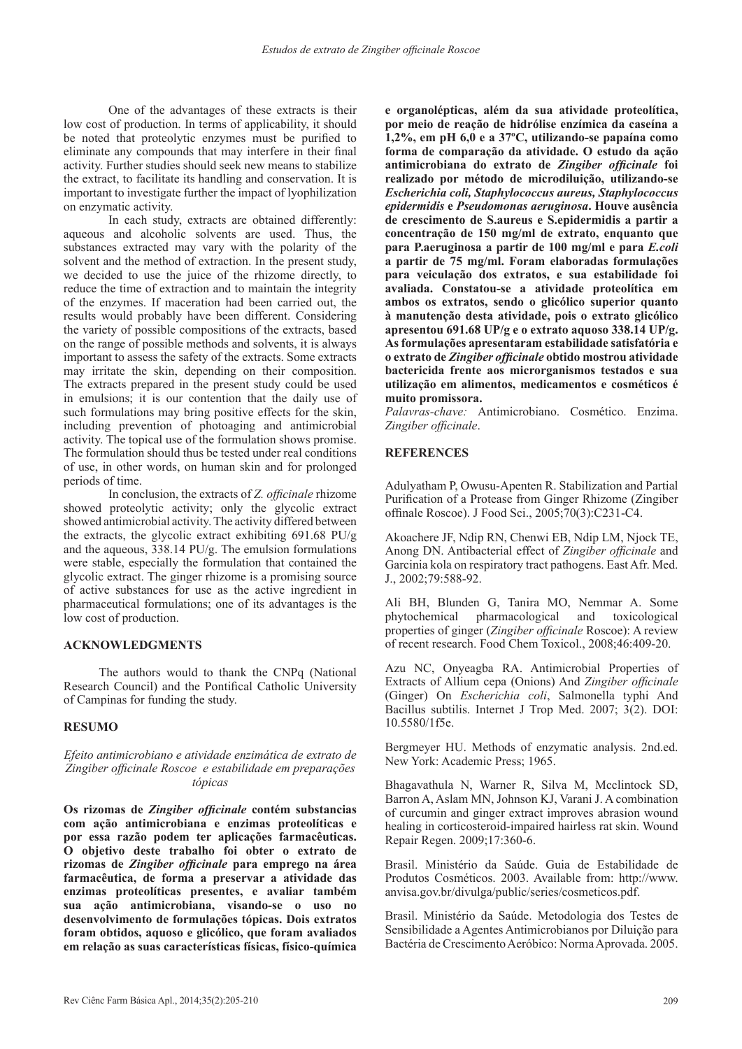One of the advantages of these extracts is their low cost of production. In terms of applicability, it should be noted that proteolytic enzymes must be purified to eliminate any compounds that may interfere in their final activity. Further studies should seek new means to stabilize the extract, to facilitate its handling and conservation. It is important to investigate further the impact of lyophilization on enzymatic activity.

In each study, extracts are obtained differently: aqueous and alcoholic solvents are used. Thus, the substances extracted may vary with the polarity of the solvent and the method of extraction. In the present study, we decided to use the juice of the rhizome directly, to reduce the time of extraction and to maintain the integrity of the enzymes. If maceration had been carried out, the results would probably have been different. Considering the variety of possible compositions of the extracts, based on the range of possible methods and solvents, it is always important to assess the safety of the extracts. Some extracts may irritate the skin, depending on their composition. The extracts prepared in the present study could be used in emulsions; it is our contention that the daily use of such formulations may bring positive effects for the skin, including prevention of photoaging and antimicrobial activity. The topical use of the formulation shows promise. The formulation should thus be tested under real conditions of use, in other words, on human skin and for prolonged periods of time.

In conclusion, the extracts of *Z. officinale* rhizome showed proteolytic activity; only the glycolic extract showed antimicrobial activity. The activity differed between the extracts, the glycolic extract exhibiting 691.68 PU/g and the aqueous, 338.14 PU/g. The emulsion formulations were stable, especially the formulation that contained the glycolic extract. The ginger rhizome is a promising source of active substances for use as the active ingredient in pharmaceutical formulations; one of its advantages is the low cost of production.

## **ACKNOWLEDGMENTS**

The authors would to thank the CNPq (National Research Council) and the Pontifical Catholic University of Campinas for funding the study.

## **RESUMO**

## *Efeito antimicrobiano e atividade enzimática de extrato de Zingiber officinale Roscoe e estabilidade em preparações tópicas*

**Os rizomas de** *Zingiber officinale* **contém substancias com ação antimicrobiana e enzimas proteolíticas e por essa razão podem ter aplicações farmacêuticas. O objetivo deste trabalho foi obter o extrato de rizomas de** *Zingiber officinale* **para emprego na área farmacêutica, de forma a preservar a atividade das enzimas proteolíticas presentes, e avaliar também sua ação antimicrobiana, visando-se o uso no desenvolvimento de formulações tópicas. Dois extratos foram obtidos, aquoso e glicólico, que foram avaliados em relação as suas características físicas, físico-química** 

**e organolépticas, além da sua atividade proteolítica, por meio de reação de hidrólise enzímica da caseína a 1,2%, em pH 6,0 e a 37ºC, utilizando-se papaína como forma de comparação da atividade. O estudo da ação antimicrobiana do extrato de** *Zingiber officinale* **foi realizado por método de microdiluição, utilizando-se**  *Escherichia coli, Staphylococcus aureus, Staphylococcus epidermidis* **e** *Pseudomonas aeruginosa***. Houve ausência de crescimento de S.aureus e S.epidermidis a partir a concentração de 150 mg/ml de extrato, enquanto que para P.aeruginosa a partir de 100 mg/ml e para** *E.coli*  **a partir de 75 mg/ml. Foram elaboradas formulações para veiculação dos extratos, e sua estabilidade foi avaliada. Constatou-se a atividade proteolítica em ambos os extratos, sendo o glicólico superior quanto à manutenção desta atividade, pois o extrato glicólico apresentou 691.68 UP/g e o extrato aquoso 338.14 UP/g. As formulações apresentaram estabilidade satisfatória e o extrato de** *Zingiber officinale* **obtido mostrou atividade bactericida frente aos microrganismos testados e sua utilização em alimentos, medicamentos e cosméticos é muito promissora.**

*Palavras-chave:* Antimicrobiano. Cosmético. Enzima. *Zingiber officinale*.

## **REFERENCES**

Adulyatham P, Owusu-Apenten R. Stabilization and Partial Purification of a Protease from Ginger Rhizome (Zingiber offinale Roscoe). J Food Sci., 2005;70(3):C231-C4.

Akoachere JF, Ndip RN, Chenwi EB, Ndip LM, Njock TE, Anong DN. Antibacterial effect of *Zingiber officinale* and Garcinia kola on respiratory tract pathogens. East Afr. Med. J., 2002;79:588-92.

Ali BH, Blunden G, Tanira MO, Nemmar A. Some phytochemical pharmacological and toxicological properties of ginger (*Zingiber officinale* Roscoe): A review of recent research. Food Chem Toxicol., 2008;46:409-20.

Azu NC, Onyeagba RA. Antimicrobial Properties of Extracts of Allium cepa (Onions) And *Zingiber officinale* (Ginger) On *Escherichia coli*, Salmonella typhi And Bacillus subtilis. Internet J Trop Med. 2007; 3(2). DOI: 10.5580/1f5e.

Bergmeyer HU. Methods of enzymatic analysis. 2nd.ed. New York: Academic Press; 1965.

Bhagavathula N, Warner R, Silva M, Mcclintock SD, Barron A, Aslam MN, Johnson KJ, Varani J. A combination of curcumin and ginger extract improves abrasion wound healing in corticosteroid-impaired hairless rat skin. Wound Repair Regen. 2009;17:360-6.

Brasil. Ministério da Saúde. Guia de Estabilidade de Produtos Cosméticos. 2003. Available from: http://www. anvisa.gov.br/divulga/public/series/cosmeticos.pdf.

Brasil. Ministério da Saúde. Metodologia dos Testes de Sensibilidade a Agentes Antimicrobianos por Diluição para Bactéria de Crescimento Aeróbico: Norma Aprovada. 2005.